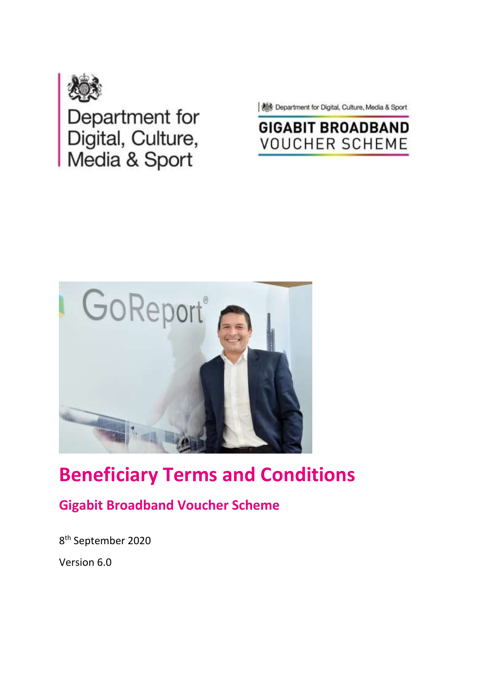

Department for<br>Digital, Culture,<br>Media & Sport

**AS Department for Digital, Culture, Media & Sport** 

# **GIGABIT BROADBAND VOUCHER SCHEME**



# **Beneficiary Terms and Conditions**

## **Gigabit Broadband Voucher Scheme**

8 th September 2020 Version 6.0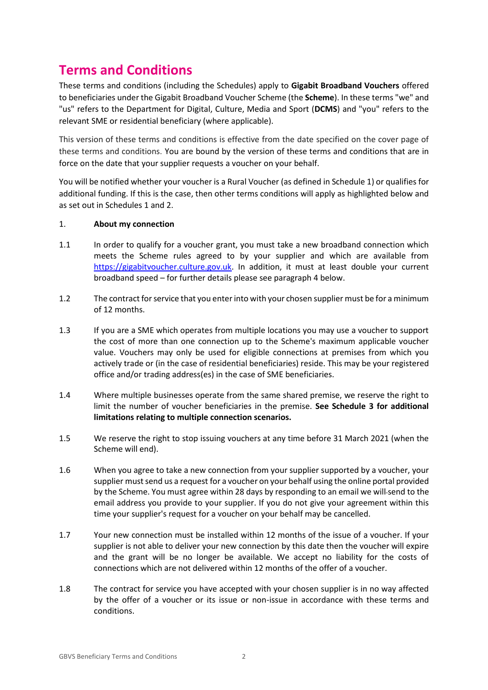### **Terms and Conditions**

These terms and conditions (including the Schedules) apply to **Gigabit Broadband Vouchers** offered to beneficiaries under the Gigabit Broadband Voucher Scheme (the **Scheme**). In these terms "we" and "us" refers to the Department for Digital, Culture, Media and Sport (**DCMS**) and "you" refers to the relevant SME or residential beneficiary (where applicable).

This version of these terms and conditions is effective from the date specified on the cover page of these terms and conditions. You are bound by the version of these terms and conditions that are in force on the date that your supplier requests a voucher on your behalf.

You will be notified whether your voucher is a Rural Voucher (as defined in Schedule 1) or qualifies for additional funding. If this is the case, then other terms conditions will apply as highlighted below and as set out in Schedules 1 and 2.

#### 1. **About my connection**

- 1.1 In order to qualify for a voucher grant, you must take a new broadband connection which meets the Scheme rules agreed to by your supplier and which are available from [https://gigabitvoucher.culture.gov.uk.](https://gigabitvoucher.culture.gov.uk/) In addition, it must at least double your current broadband speed – for further details please see paragraph 4 below.
- 1.2 The contract for service that you enter into with your chosen supplier must be for a minimum of 12 months.
- 1.3 If you are a SME which operates from multiple locations you may use a voucher to support the cost of more than one connection up to the Scheme's maximum applicable voucher value. Vouchers may only be used for eligible connections at premises from which you actively trade or (in the case of residential beneficiaries) reside. This may be your registered office and/or trading address(es) in the case of SME beneficiaries.
- 1.4 Where multiple businesses operate from the same shared premise, we reserve the right to limit the number of voucher beneficiaries in the premise. **See Schedule 3 for additional limitations relating to multiple connection scenarios.**
- 1.5 We reserve the right to stop issuing vouchers at any time before 31 March 2021 (when the Scheme will end).
- 1.6 When you agree to take a new connection from your supplier supported by a voucher, your supplier must send us a request for a voucher on your behalf using the online portal provided by the Scheme. You must agree within 28 days by responding to an email we will-send to the email address you provide to your supplier. If you do not give your agreement within this time your supplier's request for a voucher on your behalf may be cancelled.
- 1.7 Your new connection must be installed within 12 months of the issue of a voucher. If your supplier is not able to deliver your new connection by this date then the voucher will expire and the grant will be no longer be available. We accept no liability for the costs of connections which are not delivered within 12 months of the offer of a voucher.
- 1.8 The contract for service you have accepted with your chosen supplier is in no way affected by the offer of a voucher or its issue or non-issue in accordance with these terms and conditions.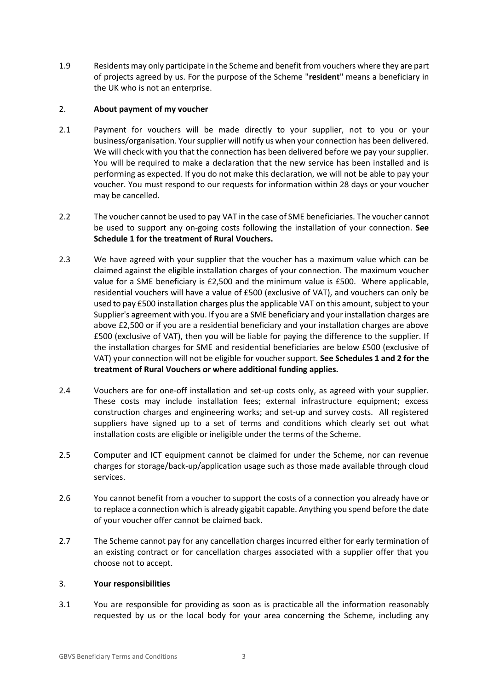1.9 Residents may only participate in the Scheme and benefit from vouchers where they are part of projects agreed by us. For the purpose of the Scheme "**resident**" means a beneficiary in the UK who is not an enterprise.

#### 2. **About payment of my voucher**

- 2.1 Payment for vouchers will be made directly to your supplier, not to you or your business/organisation. Your supplier will notify us when your connection has been delivered. We will check with you that the connection has been delivered before we pay your supplier. You will be required to make a declaration that the new service has been installed and is performing as expected. If you do not make this declaration, we will not be able to pay your voucher. You must respond to our requests for information within 28 days or your voucher may be cancelled.
- 2.2 The voucher cannot be used to pay VAT in the case of SME beneficiaries. The voucher cannot be used to support any on-going costs following the installation of your connection. **See Schedule 1 for the treatment of Rural Vouchers.**
- 2.3 We have agreed with your supplier that the voucher has a maximum value which can be claimed against the eligible installation charges of your connection. The maximum voucher value for a SME beneficiary is £2,500 and the minimum value is £500. Where applicable, residential vouchers will have a value of £500 (exclusive of VAT), and vouchers can only be used to pay £500 installation charges plus the applicable VAT on this amount, subject to your Supplier's agreement with you. If you are a SME beneficiary and your installation charges are above £2,500 or if you are a residential beneficiary and your installation charges are above £500 (exclusive of VAT), then you will be liable for paying the difference to the supplier. If the installation charges for SME and residential beneficiaries are below £500 (exclusive of VAT) your connection will not be eligible for voucher support. **See Schedules 1 and 2 for the treatment of Rural Vouchers or where additional funding applies.**
- 2.4 Vouchers are for one-off installation and set-up costs only, as agreed with your supplier. These costs may include installation fees; external infrastructure equipment; excess construction charges and engineering works; and set-up and survey costs. All registered suppliers have signed up to a set of terms and conditions which clearly set out what installation costs are eligible or ineligible under the terms of the Scheme.
- 2.5 Computer and ICT equipment cannot be claimed for under the Scheme, nor can revenue charges for storage/back-up/application usage such as those made available through cloud services.
- 2.6 You cannot benefit from a voucher to support the costs of a connection you already have or to replace a connection which is already gigabit capable. Anything you spend before the date of your voucher offer cannot be claimed back.
- 2.7 The Scheme cannot pay for any cancellation charges incurred either for early termination of an existing contract or for cancellation charges associated with a supplier offer that you choose not to accept.

#### 3. **Your responsibilities**

3.1 You are responsible for providing as soon as is practicable all the information reasonably requested by us or the local body for your area concerning the Scheme, including any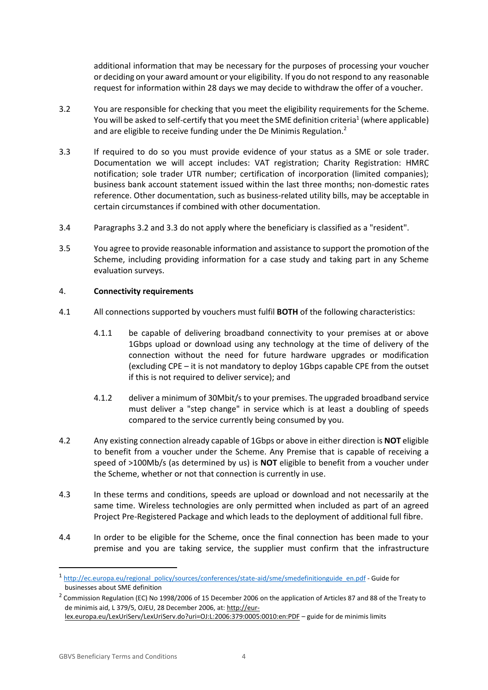additional information that may be necessary for the purposes of processing your voucher or deciding on your award amount or your eligibility. If you do not respond to any reasonable request for information within 28 days we may decide to withdraw the offer of a voucher.

- 3.2 You are responsible for checking that you meet the eligibility requirements for the Scheme. You will be asked to self-certify that you meet the SME definition criteria<sup>1</sup> (where applicable) and are eligible to receive funding under the De Minimis Regulation.<sup>2</sup>
- 3.3 If required to do so you must provide evidence of your status as a SME or sole trader. Documentation we will accept includes: VAT registration; Charity Registration: HMRC notification; sole trader UTR number; certification of incorporation (limited companies); business bank account statement issued within the last three months; non-domestic rates reference. Other documentation, such as business-related utility bills, may be acceptable in certain circumstances if combined with other documentation.
- 3.4 Paragraphs 3.2 and 3.3 do not apply where the beneficiary is classified as a "resident".
- 3.5 You agree to provide reasonable information and assistance to support the promotion of the Scheme, including providing information for a case study and taking part in any Scheme evaluation surveys.

#### 4. **Connectivity requirements**

- 4.1 All connections supported by vouchers must fulfil **BOTH** of the following characteristics:
	- 4.1.1 be capable of delivering broadband connectivity to your premises at or above 1Gbps upload or download using any technology at the time of delivery of the connection without the need for future hardware upgrades or modification (excluding CPE – it is not mandatory to deploy 1Gbps capable CPE from the outset if this is not required to deliver service); and
	- 4.1.2 deliver a minimum of 30Mbit/s to your premises. The upgraded broadband service must deliver a "step change" in service which is at least a doubling of speeds compared to the service currently being consumed by you.
- 4.2 Any existing connection already capable of 1Gbps or above in either direction is **NOT** eligible to benefit from a voucher under the Scheme. Any Premise that is capable of receiving a speed of >100Mb/s (as determined by us) is **NOT** eligible to benefit from a voucher under the Scheme, whether or not that connection is currently in use.
- 4.3 In these terms and conditions, speeds are upload or download and not necessarily at the same time. Wireless technologies are only permitted when included as part of an agreed Project Pre-Registered Package and which leads to the deployment of additional full fibre.
- 4.4 In order to be eligible for the Scheme, once the final connection has been made to your premise and you are taking service, the supplier must confirm that the infrastructure

**.** 

<sup>1</sup> [http://ec.europa.eu/regional\\_policy/sources/conferences/state-aid/sme/smedefinitionguide\\_en.pdf](http://ec.europa.eu/regional_policy/sources/conferences/state-aid/sme/smedefinitionguide_en.pdf) - Guide for businesses about SME definition

 $^2$  Commission Regulation (EC) No 1998/2006 of 15 December 2006 on the application of Articles 87 and 88 of the Treaty to de minimis aid, L 379/5, OJEU, 28 December 2006, at: [http://eur-](http://eur-lex.europa.eu/LexUriServ/LexUriServ.do?uri=OJ:L:2006:379:0005:0010:en:PDF)

[lex.europa.eu/LexUriServ/LexUriServ.do?uri=OJ:L:2006:379:0005:0010:en:PDF](http://eur-lex.europa.eu/LexUriServ/LexUriServ.do?uri=OJ:L:2006:379:0005:0010:en:PDF) – guide for de minimis limits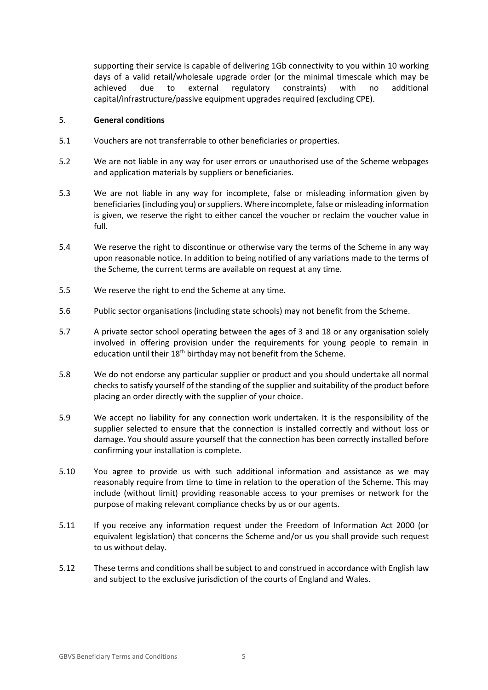supporting their service is capable of delivering 1Gb connectivity to you within 10 working days of a valid retail/wholesale upgrade order (or the minimal timescale which may be achieved due to external regulatory constraints) with no additional capital/infrastructure/passive equipment upgrades required (excluding CPE).

#### 5. **General conditions**

- 5.1 Vouchers are not transferrable to other beneficiaries or properties.
- 5.2 We are not liable in any way for user errors or unauthorised use of the Scheme webpages and application materials by suppliers or beneficiaries.
- 5.3 We are not liable in any way for incomplete, false or misleading information given by beneficiaries (including you) or suppliers. Where incomplete, false or misleading information is given, we reserve the right to either cancel the voucher or reclaim the voucher value in full.
- 5.4 We reserve the right to discontinue or otherwise vary the terms of the Scheme in any way upon reasonable notice. In addition to being notified of any variations made to the terms of the Scheme, the current terms are available on request at any time.
- 5.5 We reserve the right to end the Scheme at any time.
- 5.6 Public sector organisations (including state schools) may not benefit from the Scheme.
- 5.7 A private sector school operating between the ages of 3 and 18 or any organisation solely involved in offering provision under the requirements for young people to remain in education until their 18<sup>th</sup> birthday may not benefit from the Scheme.
- 5.8 We do not endorse any particular supplier or product and you should undertake all normal checks to satisfy yourself of the standing of the supplier and suitability of the product before placing an order directly with the supplier of your choice.
- 5.9 We accept no liability for any connection work undertaken. It is the responsibility of the supplier selected to ensure that the connection is installed correctly and without loss or damage. You should assure yourself that the connection has been correctly installed before confirming your installation is complete.
- 5.10 You agree to provide us with such additional information and assistance as we may reasonably require from time to time in relation to the operation of the Scheme. This may include (without limit) providing reasonable access to your premises or network for the purpose of making relevant compliance checks by us or our agents.
- 5.11 If you receive any information request under the Freedom of Information Act 2000 (or equivalent legislation) that concerns the Scheme and/or us you shall provide such request to us without delay.
- 5.12 These terms and conditions shall be subject to and construed in accordance with English law and subject to the exclusive jurisdiction of the courts of England and Wales.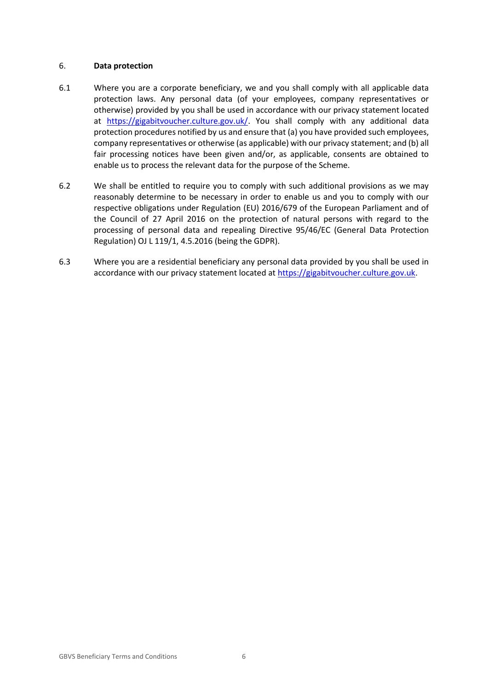#### 6. **Data protection**

- 6.1 Where you are a corporate beneficiary, we and you shall comply with all applicable data protection laws. Any personal data (of your employees, company representatives or otherwise) provided by you shall be used in accordance with our privacy statement located at [https://gigabitvoucher.culture.gov.uk/.](https://gigabitvoucher.culture.gov.uk/) You shall comply with any additional data protection procedures notified by us and ensure that (a) you have provided such employees, company representatives or otherwise (as applicable) with our privacy statement; and (b) all fair processing notices have been given and/or, as applicable, consents are obtained to enable us to process the relevant data for the purpose of the Scheme.
- 6.2 We shall be entitled to require you to comply with such additional provisions as we may reasonably determine to be necessary in order to enable us and you to comply with our respective obligations under Regulation (EU) 2016/679 of the European Parliament and of the Council of 27 April 2016 on the protection of natural persons with regard to the processing of personal data and repealing Directive 95/46/EC (General Data Protection Regulation) OJ L 119/1, 4.5.2016 (being the GDPR).
- 6.3 Where you are a residential beneficiary any personal data provided by you shall be used in accordance with our privacy statement located a[t https://gigabitvoucher.culture.gov.uk.](https://gigabitvoucher.culture.gov.uk/)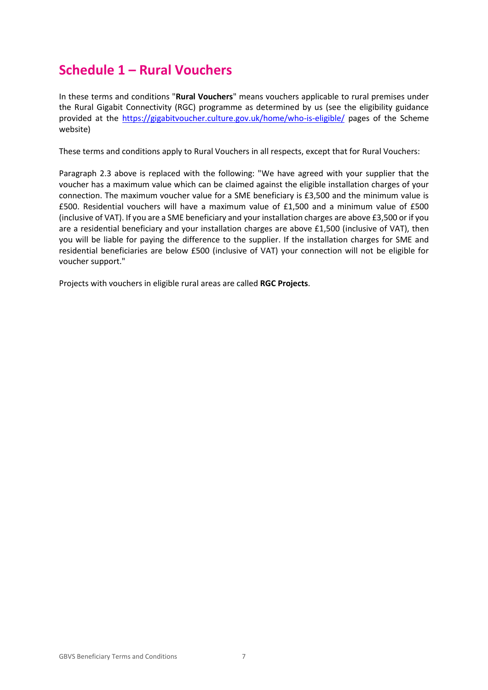### **Schedule 1 – Rural Vouchers**

In these terms and conditions "**Rural Vouchers**" means vouchers applicable to rural premises under the Rural Gigabit Connectivity (RGC) programme as determined by us (see the eligibility guidance provided at the<https://gigabitvoucher.culture.gov.uk/home/who-is-eligible/> pages of the Scheme website)

These terms and conditions apply to Rural Vouchers in all respects, except that for Rural Vouchers:

Paragraph 2.3 above is replaced with the following: "We have agreed with your supplier that the voucher has a maximum value which can be claimed against the eligible installation charges of your connection. The maximum voucher value for a SME beneficiary is £3,500 and the minimum value is £500. Residential vouchers will have a maximum value of £1,500 and a minimum value of £500 (inclusive of VAT). If you are a SME beneficiary and your installation charges are above £3,500 or if you are a residential beneficiary and your installation charges are above £1,500 (inclusive of VAT), then you will be liable for paying the difference to the supplier. If the installation charges for SME and residential beneficiaries are below £500 (inclusive of VAT) your connection will not be eligible for voucher support."

Projects with vouchers in eligible rural areas are called **RGC Projects**.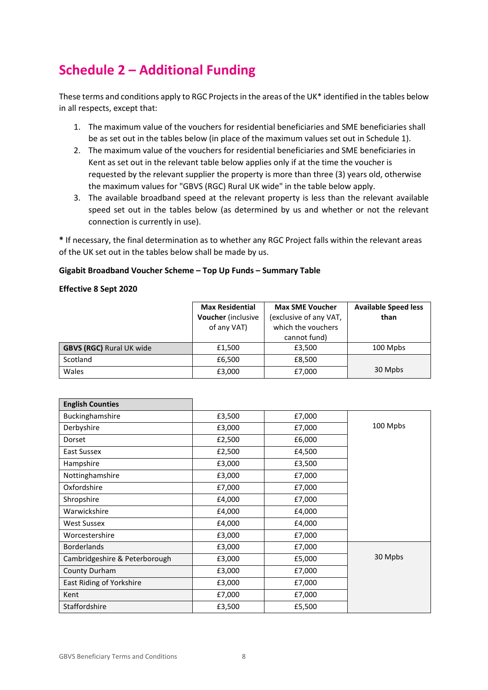## **Schedule 2 – Additional Funding**

These terms and conditions apply to RGC Projects in the areas of the UK\* identified in the tables below in all respects, except that:

- 1. The maximum value of the vouchers for residential beneficiaries and SME beneficiaries shall be as set out in the tables below (in place of the maximum values set out in Schedule 1).
- 2. The maximum value of the vouchers for residential beneficiaries and SME beneficiaries in Kent as set out in the relevant table below applies only if at the time the voucher is requested by the relevant supplier the property is more than three (3) years old, otherwise the maximum values for "GBVS (RGC) Rural UK wide" in the table below apply.
- 3. The available broadband speed at the relevant property is less than the relevant available speed set out in the tables below (as determined by us and whether or not the relevant connection is currently in use).

**\*** If necessary, the final determination as to whether any RGC Project falls within the relevant areas of the UK set out in the tables below shall be made by us.

#### **Gigabit Broadband Voucher Scheme – Top Up Funds – Summary Table**

#### **Effective 8 Sept 2020**

|                                 | <b>Max Residential</b> | <b>Max SME Voucher</b> | <b>Available Speed less</b> |
|---------------------------------|------------------------|------------------------|-----------------------------|
|                                 | Voucher (inclusive     | (exclusive of any VAT, | than                        |
|                                 | of any VAT)            | which the vouchers     |                             |
|                                 |                        | cannot fund)           |                             |
| <b>GBVS (RGC) Rural UK wide</b> | £1,500                 | £3.500                 | 100 Mpbs                    |
| Scotland                        | £6,500                 | £8,500                 |                             |
| Wales                           | £3,000                 | £7,000                 | 30 Mpbs                     |

| <b>English Counties</b>       |        |        |          |
|-------------------------------|--------|--------|----------|
| Buckinghamshire               | £3,500 | £7,000 |          |
| Derbyshire                    | £3,000 | £7,000 | 100 Mpbs |
| Dorset                        | £2,500 | £6,000 |          |
| East Sussex                   | £2,500 | £4,500 |          |
| Hampshire                     | £3,000 | £3,500 |          |
| Nottinghamshire               | £3,000 | £7,000 |          |
| Oxfordshire                   | £7,000 | £7,000 |          |
| Shropshire                    | £4,000 | £7,000 |          |
| Warwickshire                  | £4,000 | £4,000 |          |
| <b>West Sussex</b>            | £4,000 | £4,000 |          |
| Worcestershire                | £3,000 | £7,000 |          |
| <b>Borderlands</b>            | £3,000 | £7,000 |          |
| Cambridgeshire & Peterborough | £3,000 | £5,000 | 30 Mpbs  |
| County Durham                 | £3,000 | £7,000 |          |
| East Riding of Yorkshire      | £3,000 | £7,000 |          |
| Kent                          | £7,000 | £7,000 |          |
| Staffordshire                 | £3,500 | £5,500 |          |